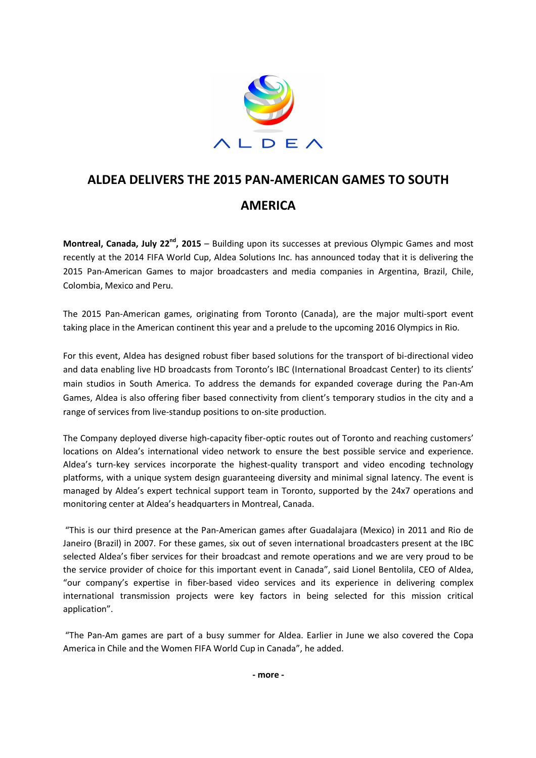

## **ALDEA DELIVERS THE 2015 PAN-AMERICAN GAMES TO SOUTH AMERICA**

**Montreal, Canada, July 22nd, 2015** – Building upon its successes at previous Olympic Games and most recently at the 2014 FIFA World Cup, Aldea Solutions Inc. has announced today that it is delivering the 2015 Pan-American Games to major broadcasters and media companies in Argentina, Brazil, Chile, Colombia, Mexico and Peru.

The 2015 Pan-American games, originating from Toronto (Canada), are the major multi-sport event taking place in the American continent this year and a prelude to the upcoming 2016 Olympics in Rio.

For this event, Aldea has designed robust fiber based solutions for the transport of bi-directional video and data enabling live HD broadcasts from Toronto's IBC (International Broadcast Center) to its clients' main studios in South America. To address the demands for expanded coverage during the Pan-Am Games, Aldea is also offering fiber based connectivity from client's temporary studios in the city and a range of services from live-standup positions to on-site production.

The Company deployed diverse high-capacity fiber-optic routes out of Toronto and reaching customers' locations on Aldea's international video network to ensure the best possible service and experience. Aldea's turn-key services incorporate the highest-quality transport and video encoding technology platforms, with a unique system design guaranteeing diversity and minimal signal latency. The event is managed by Aldea's expert technical support team in Toronto, supported by the 24x7 operations and monitoring center at Aldea's headquarters in Montreal, Canada.

 "This is our third presence at the Pan-American games after Guadalajara (Mexico) in 2011 and Rio de Janeiro (Brazil) in 2007. For these games, six out of seven international broadcasters present at the IBC selected Aldea's fiber services for their broadcast and remote operations and we are very proud to be the service provider of choice for this important event in Canada", said Lionel Bentolila, CEO of Aldea, "our company's expertise in fiber-based video services and its experience in delivering complex international transmission projects were key factors in being selected for this mission critical application".

 "The Pan-Am games are part of a busy summer for Aldea. Earlier in June we also covered the Copa America in Chile and the Women FIFA World Cup in Canada", he added.

**- more -**